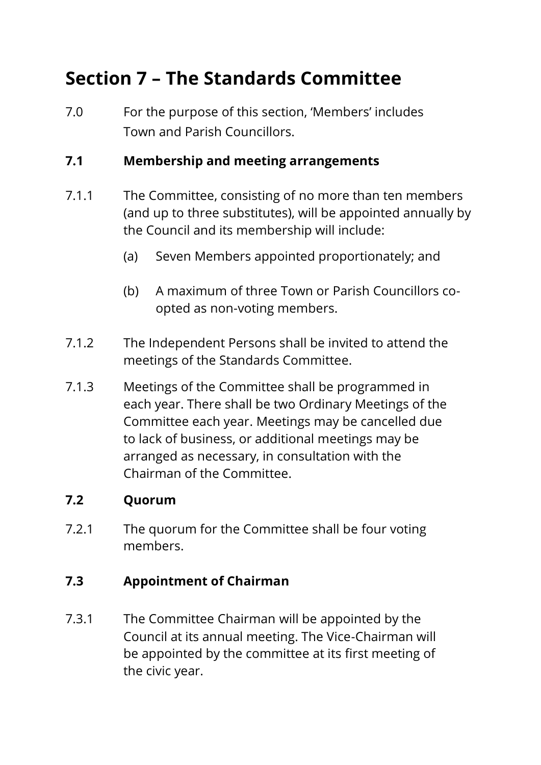# **Section 7 – The Standards Committee**

7.0 For the purpose of this section, 'Members' includes Town and Parish Councillors.

### **7.1 Membership and meeting arrangements**

- 7.1.1 The Committee, consisting of no more than ten members (and up to three substitutes), will be appointed annually by the Council and its membership will include:
	- (a) Seven Members appointed proportionately; and
	- (b) A maximum of three Town or Parish Councillors coopted as non-voting members.
- 7.1.2 The Independent Persons shall be invited to attend the meetings of the Standards Committee.
- 7.1.3 Meetings of the Committee shall be programmed in each year. There shall be two Ordinary Meetings of the Committee each year. Meetings may be cancelled due to lack of business, or additional meetings may be arranged as necessary, in consultation with the Chairman of the Committee.

### **7.2 Quorum**

7.2.1 The quorum for the Committee shall be four voting members.

### **7.3 Appointment of Chairman**

7.3.1 The Committee Chairman will be appointed by the Council at its annual meeting. The Vice-Chairman will be appointed by the committee at its first meeting of the civic year.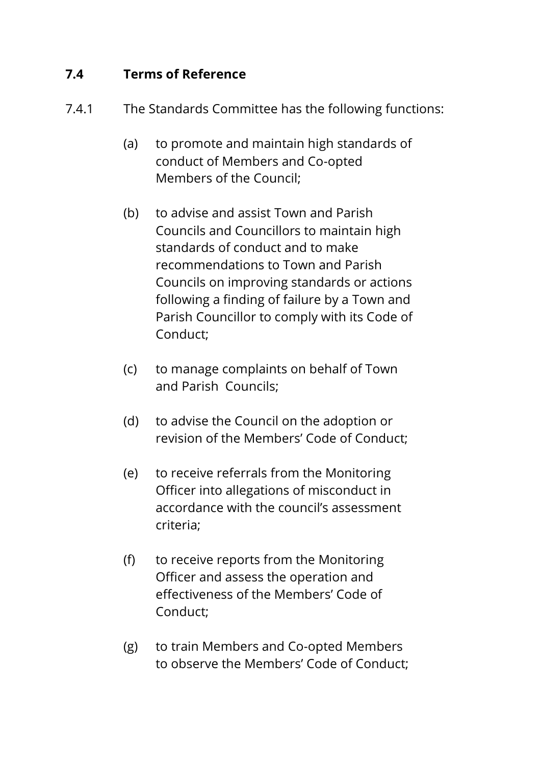## **7.4 Terms of Reference**

- 7.4.1 The Standards Committee has the following functions:
	- (a) to promote and maintain high standards of conduct of Members and Co-opted Members of the Council;
	- (b) to advise and assist Town and Parish Councils and Councillors to maintain high standards of conduct and to make recommendations to Town and Parish Councils on improving standards or actions following a finding of failure by a Town and Parish Councillor to comply with its Code of Conduct;
	- (c) to manage complaints on behalf of Town and Parish Councils;
	- (d) to advise the Council on the adoption or revision of the Members' Code of Conduct;
	- (e) to receive referrals from the Monitoring Officer into allegations of misconduct in accordance with the council's assessment criteria;
	- (f) to receive reports from the Monitoring Officer and assess the operation and effectiveness of the Members' Code of Conduct;
	- (g) to train Members and Co-opted Members to observe the Members' Code of Conduct;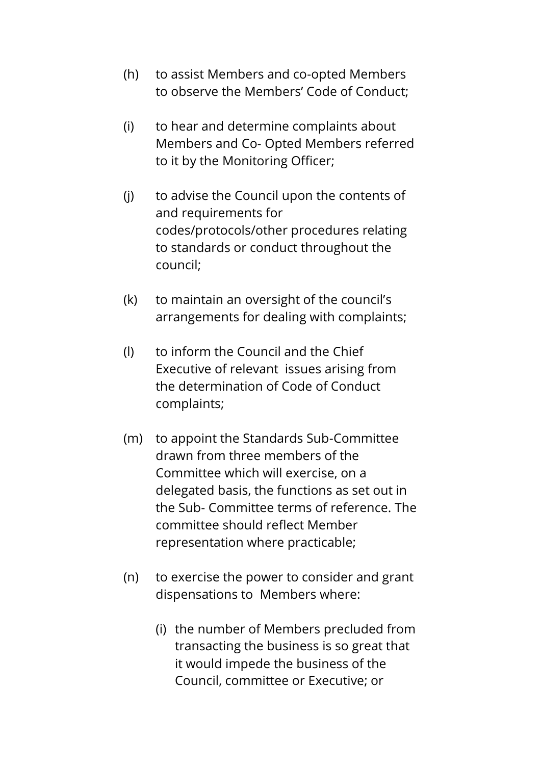- (h) to assist Members and co-opted Members to observe the Members' Code of Conduct;
- (i) to hear and determine complaints about Members and Co- Opted Members referred to it by the Monitoring Officer;
- (j) to advise the Council upon the contents of and requirements for codes/protocols/other procedures relating to standards or conduct throughout the council;
- (k) to maintain an oversight of the council's arrangements for dealing with complaints;
- (l) to inform the Council and the Chief Executive of relevant issues arising from the determination of Code of Conduct complaints;
- (m) to appoint the Standards Sub-Committee drawn from three members of the Committee which will exercise, on a delegated basis, the functions as set out in the Sub- Committee terms of reference. The committee should reflect Member representation where practicable;
- (n) to exercise the power to consider and grant dispensations to Members where:
	- (i) the number of Members precluded from transacting the business is so great that it would impede the business of the Council, committee or Executive; or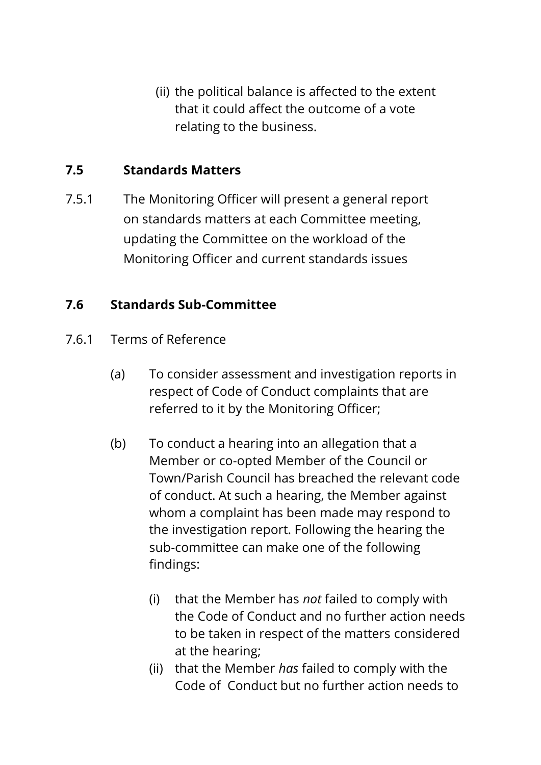(ii) the political balance is affected to the extent that it could affect the outcome of a vote relating to the business.

## **7.5 Standards Matters**

7.5.1 The Monitoring Officer will present a general report on standards matters at each Committee meeting, updating the Committee on the workload of the Monitoring Officer and current standards issues

# **7.6 Standards Sub-Committee**

- 7.6.1 Terms of Reference
	- (a) To consider assessment and investigation reports in respect of Code of Conduct complaints that are referred to it by the Monitoring Officer;
	- (b) To conduct a hearing into an allegation that a Member or co-opted Member of the Council or Town/Parish Council has breached the relevant code of conduct. At such a hearing, the Member against whom a complaint has been made may respond to the investigation report. Following the hearing the sub-committee can make one of the following findings:
		- (i) that the Member has *not* failed to comply with the Code of Conduct and no further action needs to be taken in respect of the matters considered at the hearing;
		- (ii) that the Member *has* failed to comply with the Code of Conduct but no further action needs to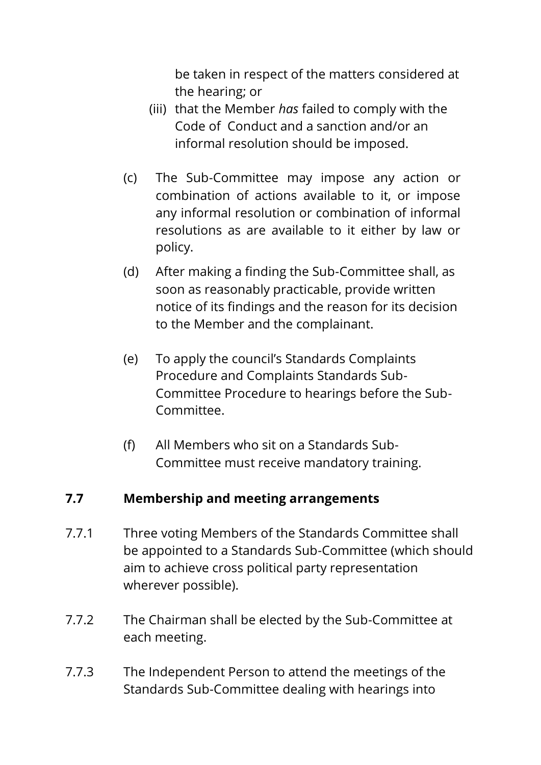be taken in respect of the matters considered at the hearing; or

- (iii) that the Member *has* failed to comply with the Code of Conduct and a sanction and/or an informal resolution should be imposed.
- (c) The Sub-Committee may impose any action or combination of actions available to it, or impose any informal resolution or combination of informal resolutions as are available to it either by law or policy.
- (d) After making a finding the Sub-Committee shall, as soon as reasonably practicable, provide written notice of its findings and the reason for its decision to the Member and the complainant.
- (e) To apply the council's Standards Complaints Procedure and Complaints Standards Sub-Committee Procedure to hearings before the Sub-Committee.
- (f) All Members who sit on a Standards Sub-Committee must receive mandatory training.

# **7.7 Membership and meeting arrangements**

- 7.7.1 Three voting Members of the Standards Committee shall be appointed to a Standards Sub-Committee (which should aim to achieve cross political party representation wherever possible).
- 7.7.2 The Chairman shall be elected by the Sub-Committee at each meeting.
- 7.7.3 The Independent Person to attend the meetings of the Standards Sub-Committee dealing with hearings into